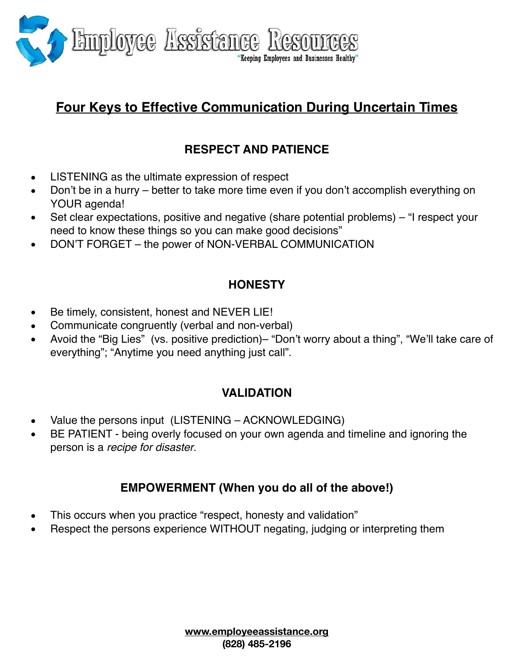

# **Four Keys to Effective Communication During Uncertain Times**

## **RESPECT AND PATIENCE**

- LISTENING as the ultimate expression of respect
- Don't be in a hurry better to take more time even if you don't accomplish everything on YOUR agenda!
- Set clear expectations, positive and negative (share potential problems) "I respect your need to know these things so you can make good decisions"
- DON'T FORGET the power of NON-VERBAL COMMUNICATION

### **HONESTY**

- Be timely, consistent, honest and NEVER LIE!
- Communicate congruently (verbal and non-verbal)
- Avoid the "Big Lies" (vs. positive prediction)– "Don't worry about a thing", "We'll take care of everything"; "Anytime you need anything just call".

### **VALIDATION**

- Value the persons input (LISTENING ACKNOWLEDGING)
- BE PATIENT being overly focused on your own agenda and timeline and ignoring the person is a *recipe for disaster*.

### **EMPOWERMENT (When you do all of the above!)**

- This occurs when you practice "respect, honesty and validation"
- Respect the persons experience WITHOUT negating, judging or interpreting them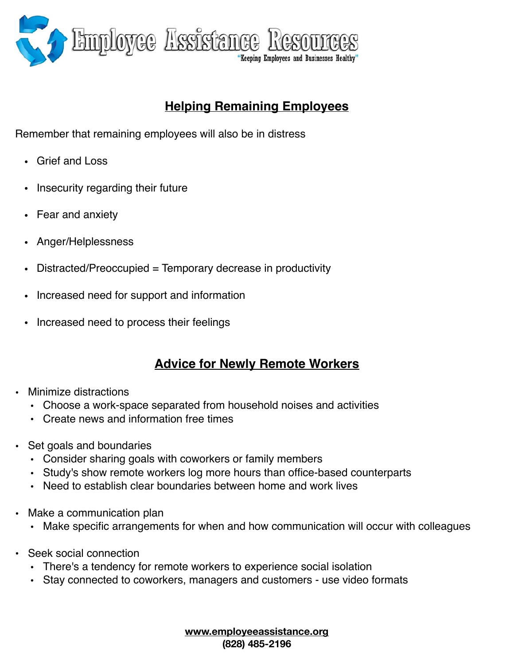

## **Helping Remaining Employees**

Remember that remaining employees will also be in distress

- Grief and Loss
- Insecurity regarding their future
- Fear and anxiety
- Anger/Helplessness
- Distracted/Preoccupied = Temporary decrease in productivity
- Increased need for support and information
- Increased need to process their feelings

### **Advice for Newly Remote Workers**

- Minimize distractions
	- Choose a work-space separated from household noises and activities
	- Create news and information free times
- Set goals and boundaries
	- Consider sharing goals with coworkers or family members
	- Study's show remote workers log more hours than office-based counterparts
	- Need to establish clear boundaries between home and work lives
- Make a communication plan
	- Make specific arrangements for when and how communication will occur with colleagues
- Seek social connection
	- There's a tendency for remote workers to experience social isolation
	- Stay connected to coworkers, managers and customers use video formats

**[www.employeeassistance.org](http://www.employeeassistance.org)  (828) 485-2196**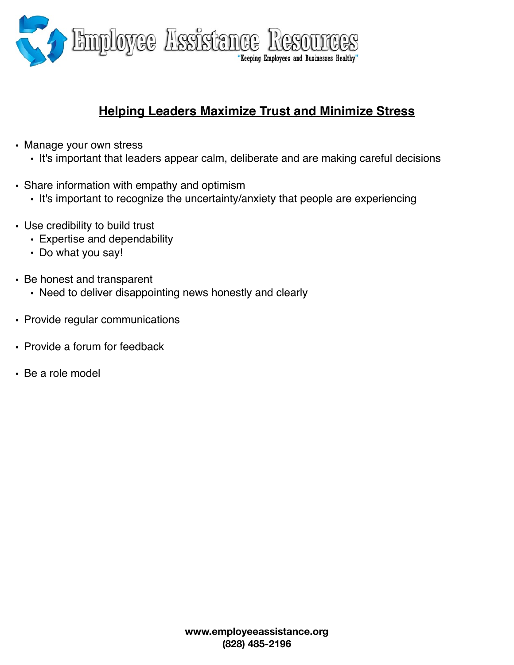

### **Helping Leaders Maximize Trust and Minimize Stress**

- Manage your own stress
	- It's important that leaders appear calm, deliberate and are making careful decisions
- Share information with empathy and optimism
	- It's important to recognize the uncertainty/anxiety that people are experiencing
- Use credibility to build trust
	- Expertise and dependability
	- Do what you say!
- Be honest and transparent
	- Need to deliver disappointing news honestly and clearly
- Provide regular communications
- Provide a forum for feedback
- Be a role model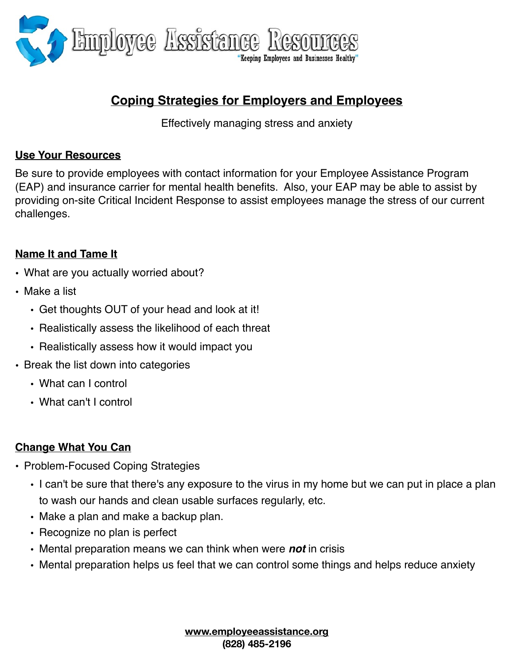

### **Coping Strategies for Employers and Employees**

Effectively managing stress and anxiety

#### **Use Your Resources**

Be sure to provide employees with contact information for your Employee Assistance Program (EAP) and insurance carrier for mental health benefits. Also, your EAP may be able to assist by providing on-site Critical Incident Response to assist employees manage the stress of our current challenges.

#### **Name It and Tame It**

- What are you actually worried about?
- Make a list
	- Get thoughts OUT of your head and look at it!
	- Realistically assess the likelihood of each threat
	- Realistically assess how it would impact you
- Break the list down into categories
	- What can I control
	- What can't I control

#### **Change What You Can**

- Problem-Focused Coping Strategies
	- I can't be sure that there's any exposure to the virus in my home but we can put in place a plan to wash our hands and clean usable surfaces regularly, etc.
	- Make a plan and make a backup plan.
	- Recognize no plan is perfect
	- Mental preparation means we can think when were *not* in crisis
	- Mental preparation helps us feel that we can control some things and helps reduce anxiety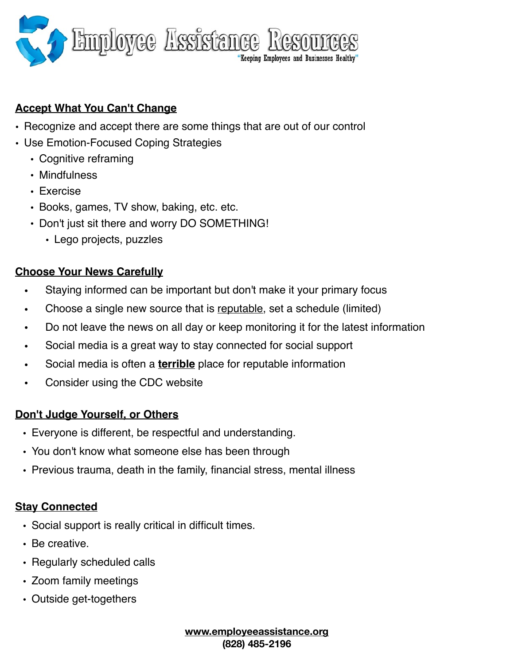

### **Accept What You Can't Change**

- Recognize and accept there are some things that are out of our control
- Use Emotion-Focused Coping Strategies
	- Cognitive reframing
	- Mindfulness
	- Exercise
	- Books, games, TV show, baking, etc. etc.
	- Don't just sit there and worry DO SOMETHING!
		- Lego projects, puzzles

#### **Choose Your News Carefully**

- Staying informed can be important but don't make it your primary focus
- Choose a single new source that is reputable, set a schedule (limited)
- Do not leave the news on all day or keep monitoring it for the latest information
- Social media is a great way to stay connected for social support
- Social media is often a **terrible** place for reputable information
- Consider using the CDC website

#### **Don't Judge Yourself, or Others**

- Everyone is different, be respectful and understanding.
- You don't know what someone else has been through
- Previous trauma, death in the family, financial stress, mental illness

#### **Stay Connected**

- Social support is really critical in difficult times.
- Be creative.
- Regularly scheduled calls
- Zoom family meetings
- Outside get-togethers